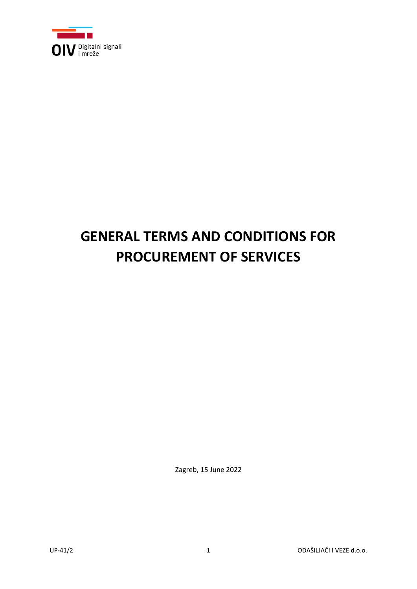

# **GENERAL TERMS AND CONDITIONS FOR PROCUREMENT OF SERVICES**

Zagreb, 15 June 2022

UP-41/2 1 ODAŠILJAČI I VEZE d.o.o.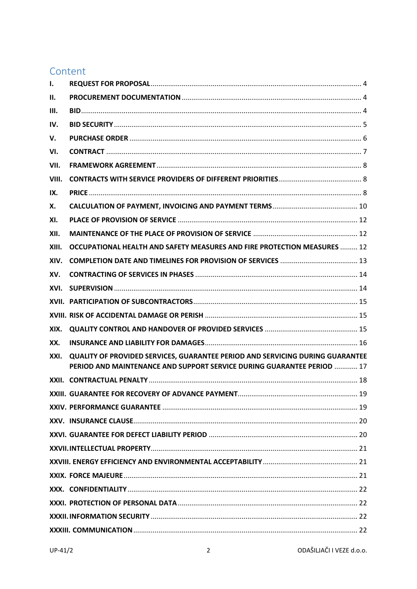# Content

| ı.    |                                                                                                                                                         |  |
|-------|---------------------------------------------------------------------------------------------------------------------------------------------------------|--|
| Н.    |                                                                                                                                                         |  |
| Ш.    |                                                                                                                                                         |  |
| IV.   |                                                                                                                                                         |  |
| V.    |                                                                                                                                                         |  |
| VI.   |                                                                                                                                                         |  |
| VII.  |                                                                                                                                                         |  |
| VIII. |                                                                                                                                                         |  |
| IX.   |                                                                                                                                                         |  |
| Х.    |                                                                                                                                                         |  |
| XI.   |                                                                                                                                                         |  |
| XII.  |                                                                                                                                                         |  |
| XIII. | OCCUPATIONAL HEALTH AND SAFETY MEASURES AND FIRE PROTECTION MEASURES  12                                                                                |  |
| XIV.  |                                                                                                                                                         |  |
| XV.   |                                                                                                                                                         |  |
| XVI.  |                                                                                                                                                         |  |
|       |                                                                                                                                                         |  |
|       |                                                                                                                                                         |  |
| XIX.  |                                                                                                                                                         |  |
| XX.   |                                                                                                                                                         |  |
| XXI.  | QUALITY OF PROVIDED SERVICES, GUARANTEE PERIOD AND SERVICING DURING GUARANTEE<br>PERIOD AND MAINTENANCE AND SUPPORT SERVICE DURING GUARANTEE PERIOD  17 |  |
| XXII. |                                                                                                                                                         |  |
|       |                                                                                                                                                         |  |
|       |                                                                                                                                                         |  |
|       |                                                                                                                                                         |  |
|       |                                                                                                                                                         |  |
|       |                                                                                                                                                         |  |
|       |                                                                                                                                                         |  |
|       |                                                                                                                                                         |  |
|       |                                                                                                                                                         |  |
|       |                                                                                                                                                         |  |
|       |                                                                                                                                                         |  |
|       |                                                                                                                                                         |  |
|       |                                                                                                                                                         |  |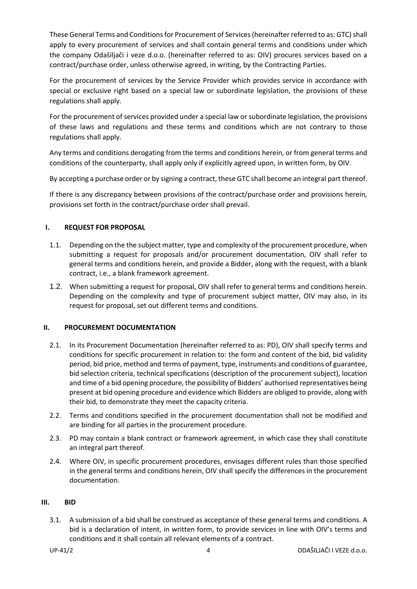These General Terms and Conditions for Procurement of Services (hereinafter referred to as: GTC) shall apply to every procurement of services and shall contain general terms and conditions under which the company Odašiljači i veze d.o.o. (hereinafter referred to as: OIV) procures services based on a contract/purchase order, unless otherwise agreed, in writing, by the Contracting Parties.

For the procurement of services by the Service Provider which provides service in accordance with special or exclusive right based on a special law or subordinate legislation, the provisions of these regulations shall apply.

For the procurement of services provided under a special law or subordinate legislation, the provisions of these laws and regulations and these terms and conditions which are not contrary to those regulations shall apply.

Any terms and conditions derogating from the terms and conditions herein, or from general terms and conditions of the counterparty, shall apply only if explicitly agreed upon, in written form, by OIV.

By accepting a purchase order or by signing a contract, these GTC shall become an integral part thereof.

If there is any discrepancy between provisions of the contract/purchase order and provisions herein, provisions set forth in the contract/purchase order shall prevail.

# <span id="page-3-0"></span>**I. REQUEST FOR PROPOSAL**

- 1.1. Depending on the the subject matter, type and complexity of the procurement procedure, when submitting a request for proposals and/or procurement documentation, OIV shall refer to general terms and conditions herein, and provide a Bidder, along with the request, with a blank contract, i.e., a blank framework agreement.
- 1.2. When submitting a request for proposal, OIV shall refer to general terms and conditions herein. Depending on the complexity and type of procurement subject matter, OIV may also, in its request for proposal, set out different terms and conditions.

#### <span id="page-3-1"></span>**II. PROCUREMENT DOCUMENTATION**

- 2.1. In its Procurement Documentation (hereinafter referred to as: PD), OIV shall specify terms and conditions for specific procurement in relation to: the form and content of the bid, bid validity period, bid price, method and terms of payment, type, instruments and conditions of guarantee, bid selection criteria, technical specifications (description of the procurement subject), location and time of a bid opening procedure, the possibility of Bidders' authorised representatives being present at bid opening procedure and evidence which Bidders are obliged to provide, along with their bid, to demonstrate they meet the capacity criteria.
- 2.2. Terms and conditions specified in the procurement documentation shall not be modified and are binding for all parties in the procurement procedure.
- 2.3. PD may contain a blank contract or framework agreement, in which case they shall constitute an integral part thereof.
- 2.4. Where OIV, in specific procurement procedures, envisages different rules than those specified in the general terms and conditions herein, OIV shall specify the differences in the procurement documentation.

#### <span id="page-3-2"></span>**III. BID**

3.1. A submission of a bid shall be construed as acceptance of these general terms and conditions. A bid is a declaration of intent, in written form, to provide services in line with OIV's terms and conditions and it shall contain all relevant elements of a contract.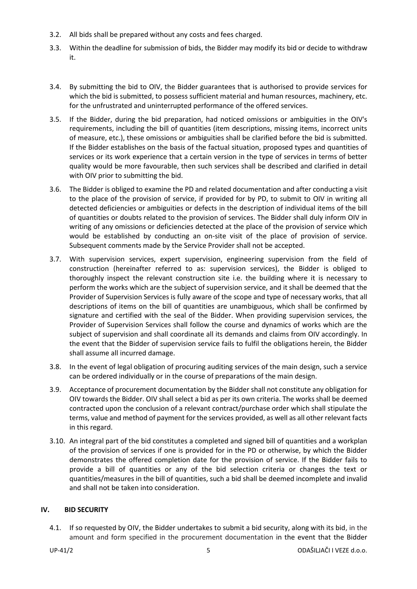- 3.2. All bids shall be prepared without any costs and fees charged.
- 3.3. Within the deadline for submission of bids, the Bidder may modify its bid or decide to withdraw it.
- 3.4. By submitting the bid to OIV, the Bidder guarantees that is authorised to provide services for which the bid is submitted, to possess sufficient material and human resources, machinery, etc. for the unfrustrated and uninterrupted performance of the offered services.
- 3.5. If the Bidder, during the bid preparation, had noticed omissions or ambiguities in the OIV's requirements, including the bill of quantities (item descriptions, missing items, incorrect units of measure, etc.), these omissions or ambiguities shall be clarified before the bid is submitted. If the Bidder establishes on the basis of the factual situation, proposed types and quantities of services or its work experience that a certain version in the type of services in terms of better quality would be more favourable, then such services shall be described and clarified in detail with OIV prior to submitting the bid.
- 3.6. The Bidder is obliged to examine the PD and related documentation and after conducting a visit to the place of the provision of service, if provided for by PD, to submit to OIV in writing all detected deficiencies or ambiguities or defects in the description of individual items of the bill of quantities or doubts related to the provision of services. The Bidder shall duly inform OIV in writing of any omissions or deficiencies detected at the place of the provision of service which would be established by conducting an on-site visit of the place of provision of service. Subsequent comments made by the Service Provider shall not be accepted.
- 3.7. With supervision services, expert supervision, engineering supervision from the field of construction (hereinafter referred to as: supervision services), the Bidder is obliged to thoroughly inspect the relevant construction site i.e. the building where it is necessary to perform the works which are the subject of supervision service, and it shall be deemed that the Provider of Supervision Services is fully aware of the scope and type of necessary works, that all descriptions of items on the bill of quantities are unambiguous, which shall be confirmed by signature and certified with the seal of the Bidder. When providing supervision services, the Provider of Supervision Services shall follow the course and dynamics of works which are the subject of supervision and shall coordinate all its demands and claims from OIV accordingly. In the event that the Bidder of supervision service fails to fulfil the obligations herein, the Bidder shall assume all incurred damage.
- 3.8. In the event of legal obligation of procuring auditing services of the main design, such a service can be ordered individually or in the course of preparations of the main design.
- 3.9. Acceptance of procurement documentation by the Bidder shall not constitute any obligation for OIV towards the Bidder. OIV shall select a bid as per its own criteria. The works shall be deemed contracted upon the conclusion of a relevant contract/purchase order which shall stipulate the terms, value and method of payment for the services provided, as well as all other relevant facts in this regard.
- 3.10. An integral part of the bid constitutes a completed and signed bill of quantities and a workplan of the provision of services if one is provided for in the PD or otherwise, by which the Bidder demonstrates the offered completion date for the provision of service. If the Bidder fails to provide a bill of quantities or any of the bid selection criteria or changes the text or quantities/measures in the bill of quantities, such a bid shall be deemed incomplete and invalid and shall not be taken into consideration.

# <span id="page-4-0"></span>**IV. BID SECURITY**

4.1. If so requested by OIV, the Bidder undertakes to submit a bid security, along with its bid, in the amount and form specified in the procurement documentation in the event that the Bidder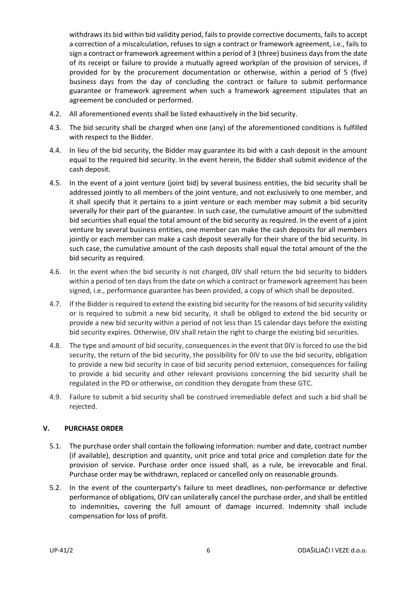withdraws its bid within bid validity period, fails to provide corrective documents, fails to accept a correction of a miscalculation, refuses to sign a contract or framework agreement, i.e., fails to sign a contract or framework agreement within a period of 3 (three) business days from the date of its receipt or failure to provide a mutually agreed workplan of the provision of services, if provided for by the procurement documentation or otherwise, within a period of 5 (five) business days from the day of concluding the contract or failure to submit performance guarantee or framework agreement when such a framework agreement stipulates that an agreement be concluded or performed.

- 4.2. All aforementioned events shall be listed exhaustively in the bid security.
- 4.3. The bid security shall be charged when one (any) of the aforementioned conditions is fulfilled with respect to the Bidder.
- 4.4. In lieu of the bid security, the Bidder may guarantee its bid with a cash deposit in the amount equal to the required bid security. In the event herein, the Bidder shall submit evidence of the cash deposit.
- 4.5. In the event of a joint venture (joint bid) by several business entities, the bid security shall be addressed jointly to all members of the joint venture, and not exclusively to one member, and it shall specify that it pertains to a joint venture or each member may submit a bid security severally for their part of the guarantee. In such case, the cumulative amount of the submitted bid securities shall equal the total amount of the bid security as required. In the event of a joint venture by several business entities, one member can make the cash deposits for all members jointly or each member can make a cash deposit severally for their share of the bid security. In such case, the cumulative amount of the cash deposits shall equal the total amount of the the bid security as required.
- 4.6. In the event when the bid security is not charged, 0IV shall return the bid security to bidders within a period of ten days from the date on which a contract or framework agreement has been signed, i.e., performance guarantee has been provided, a copy of which shall be deposited.
- 4.7. If the Bidder is required to extend the existing bid security for the reasons of bid security validity or is required to submit a new bid security, it shall be obliged to extend the bid security or provide a new bid security within a period of not less than 15 calendar days before the existing bid security expires. Otherwise, 0IV shall retain the right to charge the existing bid securities.
- 4.8. The type and amount of bid security, consequences in the event that 0IV is forced to use the bid security, the return of the bid security, the possibility for 0IV to use the bid security, obligation to provide a new bid security in case of bid security period extension, consequences for failing to provide a bid security and other relevant provisions concerning the bid security shall be regulated in the PD or otherwise, on condition they derogate from these GTC.
- 4.9. Failure to submit a bid security shall be construed irremediable defect and such a bid shall be rejected.

#### <span id="page-5-0"></span>**V. PURCHASE ORDER**

- 5.1. The purchase order shall contain the following information: number and date, contract number (if available), description and quantity, unit price and total price and completion date for the provision of service. Purchase order once issued shall, as a rule, be irrevocable and final. Purchase order may be withdrawn, replaced or cancelled only on reasonable grounds.
- 5.2. In the event of the counterparty's failure to meet deadlines, non-performance or defective performance of obligations, OIV can unilaterally cancel the purchase order, and shall be entitled to indemnities, covering the full amount of damage incurred. Indemnity shall include compensation for loss of profit.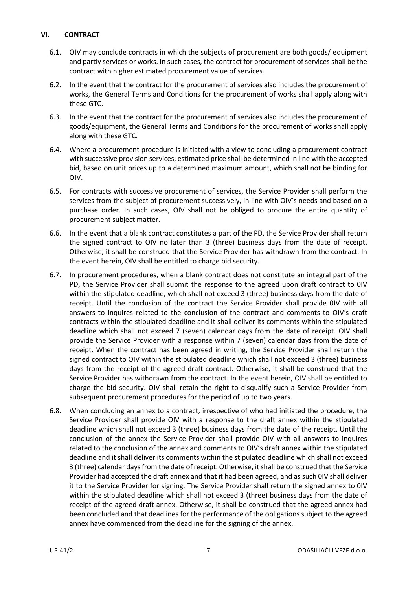# <span id="page-6-0"></span>**VI. CONTRACT**

- 6.1. OIV may conclude contracts in which the subjects of procurement are both goods/ equipment and partly services or works. In such cases, the contract for procurement of services shall be the contract with higher estimated procurement value of services.
- 6.2. In the event that the contract for the procurement of services also includes the procurement of works, the General Terms and Conditions for the procurement of works shall apply along with these GTC.
- 6.3. In the event that the contract for the procurement of services also includes the procurement of goods/equipment, the General Terms and Conditions for the procurement of works shall apply along with these GTC.
- 6.4. Where a procurement procedure is initiated with a view to concluding a procurement contract with successive provision services, estimated price shall be determined in line with the accepted bid, based on unit prices up to a determined maximum amount, which shall not be binding for OIV.
- 6.5. For contracts with successive procurement of services, the Service Provider shall perform the services from the subject of procurement successively, in line with OIV's needs and based on a purchase order. In such cases, OIV shall not be obliged to procure the entire quantity of procurement subject matter.
- <span id="page-6-1"></span>6.6. In the event that a blank contract constitutes a part of the PD, the Service Provider shall return the signed contract to OIV no later than 3 (three) business days from the date of receipt. Otherwise, it shall be construed that the Service Provider has withdrawn from the contract. In the event herein, OIV shall be entitled to charge bid security.
- <span id="page-6-2"></span>6.7. In procurement procedures, when a blank contract does not constitute an integral part of the PD, the Service Provider shall submit the response to the agreed upon draft contract to 0IV within the stipulated deadline, which shall not exceed 3 (three) business days from the date of receipt. Until the conclusion of the contract the Service Provider shall provide 0IV with all answers to inquires related to the conclusion of the contract and comments to OIV's draft contracts within the stipulated deadline and it shall deliver its comments within the stipulated deadline which shall not exceed 7 (seven) calendar days from the date of receipt. OIV shall provide the Service Provider with a response within 7 (seven) calendar days from the date of receipt. When the contract has been agreed in writing, the Service Provider shall return the signed contract to OIV within the stipulated deadline which shall not exceed 3 (three) business days from the receipt of the agreed draft contract. Otherwise, it shall be construed that the Service Provider has withdrawn from the contract. In the event herein, OIV shall be entitled to charge the bid security. OIV shall retain the right to disqualify such a Service Provider from subsequent procurement procedures for the period of up to two years.
- <span id="page-6-3"></span>6.8. When concluding an annex to a contract, irrespective of who had initiated the procedure, the Service Provider shall provide OIV with a response to the draft annex within the stipulated deadline which shall not exceed 3 (three) business days from the date of the receipt. Until the conclusion of the annex the Service Provider shall provide OIV with all answers to inquires related to the conclusion of the annex and comments to OIV's draft annex within the stipulated deadline and it shall deliver its comments within the stipulated deadline which shall not exceed 3 (three) calendar days from the date of receipt. Otherwise, it shall be construed that the Service Provider had accepted the draft annex and that it had been agreed, and as such 0IV shall deliver it to the Service Provider for signing. The Service Provider shall return the signed annex to 0IV within the stipulated deadline which shall not exceed 3 (three) business days from the date of receipt of the agreed draft annex. Otherwise, it shall be construed that the agreed annex had been concluded and that deadlines for the performance of the obligations subject to the agreed annex have commenced from the deadline for the signing of the annex.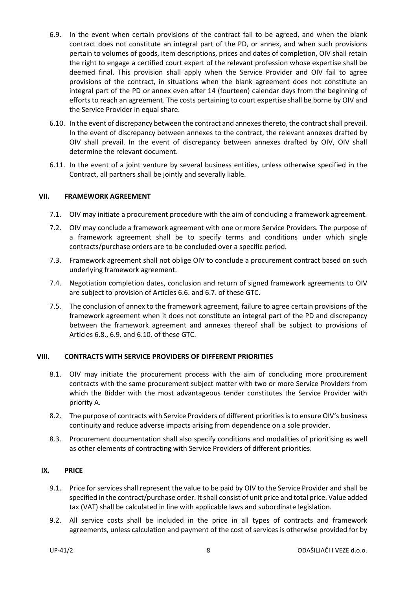- <span id="page-7-3"></span>6.9. In the event when certain provisions of the contract fail to be agreed, and when the blank contract does not constitute an integral part of the PD, or annex, and when such provisions pertain to volumes of goods, item descriptions, prices and dates of completion, OIV shall retain the right to engage a certified court expert of the relevant profession whose expertise shall be deemed final. This provision shall apply when the Service Provider and OIV fail to agree provisions of the contract, in situations when the blank agreement does not constitute an integral part of the PD or annex even after 14 (fourteen) calendar days from the beginning of efforts to reach an agreement. The costs pertaining to court expertise shall be borne by OIV and the Service Provider in equal share.
- <span id="page-7-4"></span>6.10. In the event of discrepancy between the contract and annexes thereto, the contract shall prevail. In the event of discrepancy between annexes to the contract, the relevant annexes drafted by OIV shall prevail. In the event of discrepancy between annexes drafted by OIV, OIV shall determine the relevant document.
- 6.11. In the event of a joint venture by several business entities, unless otherwise specified in the Contract, all partners shall be jointly and severally liable.

#### <span id="page-7-0"></span>**VII. FRAMEWORK AGREEMENT**

- 7.1. OIV may initiate a procurement procedure with the aim of concluding a framework agreement.
- 7.2. OIV may conclude a framework agreement with one or more Service Providers. The purpose of a framework agreement shall be to specify terms and conditions under which single contracts/purchase orders are to be concluded over a specific period.
- 7.3. Framework agreement shall not oblige OIV to conclude a procurement contract based on such underlying framework agreement.
- 7.4. Negotiation completion dates, conclusion and return of signed framework agreements to OIV are subject to provision of Articles [6.6.](#page-6-1) and [6.7.](#page-6-2) of these GTC.
- 7.5. The conclusion of annex to the framework agreement, failure to agree certain provisions of the framework agreement when it does not constitute an integral part of the PD and discrepancy between the framework agreement and annexes thereof shall be subject to provisions of Articles [6.8.](#page-6-3), [6.9.](#page-7-3) an[d 6.10.](#page-7-4) of these GTC.

# <span id="page-7-1"></span>**VIII. CONTRACTS WITH SERVICE PROVIDERS OF DIFFERENT PRIORITIES**

- 8.1. OIV may initiate the procurement process with the aim of concluding more procurement contracts with the same procurement subject matter with two or more Service Providers from which the Bidder with the most advantageous tender constitutes the Service Provider with priority A.
- 8.2. The purpose of contracts with Service Providers of different priorities is to ensure OIV's business continuity and reduce adverse impacts arising from dependence on a sole provider.
- 8.3. Procurement documentation shall also specify conditions and modalities of prioritising as well as other elements of contracting with Service Providers of different priorities.

#### <span id="page-7-2"></span>**IX. PRICE**

- 9.1. Price for services shall represent the value to be paid by OIV to the Service Provider and shall be specified in the contract/purchase order. It shall consist of unit price and total price. Value added tax (VAT) shall be calculated in line with applicable laws and subordinate legislation.
- 9.2. All service costs shall be included in the price in all types of contracts and framework agreements, unless calculation and payment of the cost of services is otherwise provided for by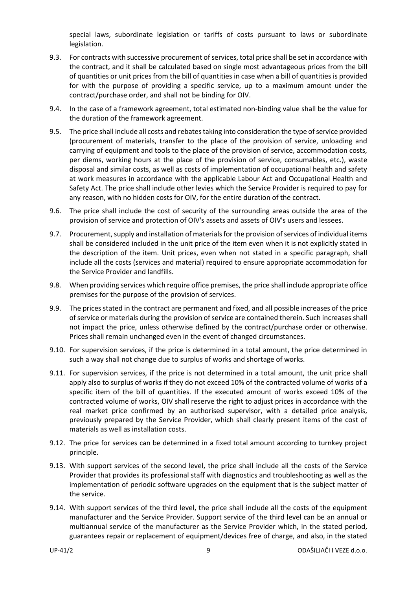special laws, subordinate legislation or tariffs of costs pursuant to laws or subordinate legislation.

- 9.3. For contracts with successive procurement of services, total price shall be set in accordance with the contract, and it shall be calculated based on single most advantageous prices from the bill of quantities or unit prices from the bill of quantities in case when a bill of quantities is provided for with the purpose of providing a specific service, up to a maximum amount under the contract/purchase order, and shall not be binding for OIV.
- 9.4. In the case of a framework agreement, total estimated non-binding value shall be the value for the duration of the framework agreement.
- 9.5. The price shall include all costs and rebates taking into consideration the type of service provided (procurement of materials, transfer to the place of the provision of service, unloading and carrying of equipment and tools to the place of the provision of service, accommodation costs, per diems, working hours at the place of the provision of service, consumables, etc.), waste disposal and similar costs, as well as costs of implementation of occupational health and safety at work measures in accordance with the applicable Labour Act and Occupational Health and Safety Act. The price shall include other levies which the Service Provider is required to pay for any reason, with no hidden costs for OIV, for the entire duration of the contract.
- 9.6. The price shall include the cost of security of the surrounding areas outside the area of the provision of service and protection of OIV's assets and assets of OIV's users and lessees.
- 9.7. Procurement, supply and installation of materials for the provision of services of individual items shall be considered included in the unit price of the item even when it is not explicitly stated in the description of the item. Unit prices, even when not stated in a specific paragraph, shall include all the costs (services and material) required to ensure appropriate accommodation for the Service Provider and landfills.
- 9.8. When providing services which require office premises, the price shall include appropriate office premises for the purpose of the provision of services.
- 9.9. The prices stated in the contract are permanent and fixed, and all possible increases of the price of service or materials during the provision of service are contained therein. Such increases shall not impact the price, unless otherwise defined by the contract/purchase order or otherwise. Prices shall remain unchanged even in the event of changed circumstances.
- 9.10. For supervision services, if the price is determined in a total amount, the price determined in such a way shall not change due to surplus of works and shortage of works.
- 9.11. For supervision services, if the price is not determined in a total amount, the unit price shall apply also to surplus of works if they do not exceed 10% of the contracted volume of works of a specific item of the bill of quantities. If the executed amount of works exceed 10% of the contracted volume of works, OIV shall reserve the right to adjust prices in accordance with the real market price confirmed by an authorised supervisor, with a detailed price analysis, previously prepared by the Service Provider, which shall clearly present items of the cost of materials as well as installation costs.
- 9.12. The price for services can be determined in a fixed total amount according to turnkey project principle.
- 9.13. With support services of the second level, the price shall include all the costs of the Service Provider that provides its professional staff with diagnostics and troubleshooting as well as the implementation of periodic software upgrades on the equipment that is the subject matter of the service.
- 9.14. With support services of the third level, the price shall include all the costs of the equipment manufacturer and the Service Provider. Support service of the third level can be an annual or multiannual service of the manufacturer as the Service Provider which, in the stated period, guarantees repair or replacement of equipment/devices free of charge, and also, in the stated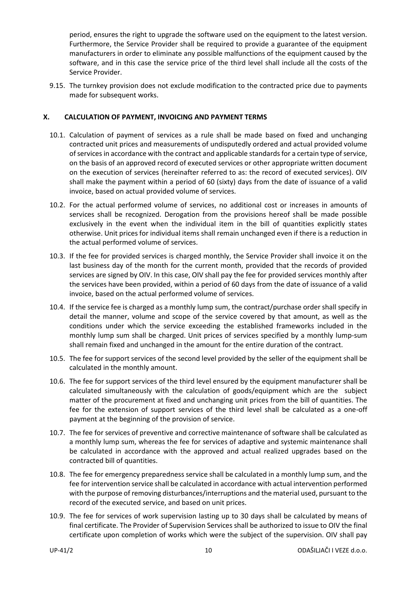period, ensures the right to upgrade the software used on the equipment to the latest version. Furthermore, the Service Provider shall be required to provide a guarantee of the equipment manufacturers in order to eliminate any possible malfunctions of the equipment caused by the software, and in this case the service price of the third level shall include all the costs of the Service Provider.

9.15. The turnkey provision does not exclude modification to the contracted price due to payments made for subsequent works.

# <span id="page-9-0"></span>**X. CALCULATION OF PAYMENT, INVOICING AND PAYMENT TERMS**

- 10.1. Calculation of payment of services as a rule shall be made based on fixed and unchanging contracted unit prices and measurements of undisputedly ordered and actual provided volume of services in accordance with the contract and applicable standards for a certain type of service, on the basis of an approved record of executed services or other appropriate written document on the execution of services (hereinafter referred to as: the record of executed services). OIV shall make the payment within a period of 60 (sixty) days from the date of issuance of a valid invoice, based on actual provided volume of services.
- 10.2. For the actual performed volume of services, no additional cost or increases in amounts of services shall be recognized. Derogation from the provisions hereof shall be made possible exclusively in the event when the individual item in the bill of quantities explicitly states otherwise. Unit prices for individual items shall remain unchanged even if there is a reduction in the actual performed volume of services.
- 10.3. If the fee for provided services is charged monthly, the Service Provider shall invoice it on the last business day of the month for the current month, provided that the records of provided services are signed by OIV. In this case, OIV shall pay the fee for provided services monthly after the services have been provided, within a period of 60 days from the date of issuance of a valid invoice, based on the actual performed volume of services.
- 10.4. If the service fee is charged as a monthly lump sum, the contract/purchase order shall specify in detail the manner, volume and scope of the service covered by that amount, as well as the conditions under which the service exceeding the established frameworks included in the monthly lump sum shall be charged. Unit prices of services specified by a monthly lump-sum shall remain fixed and unchanged in the amount for the entire duration of the contract.
- 10.5. The fee for support services of the second level provided by the seller of the equipment shall be calculated in the monthly amount.
- 10.6. The fee for support services of the third level ensured by the equipment manufacturer shall be calculated simultaneously with the calculation of goods/equipment which are the subject matter of the procurement at fixed and unchanging unit prices from the bill of quantities. The fee for the extension of support services of the third level shall be calculated as a one-off payment at the beginning of the provision of service.
- 10.7. The fee for services of preventive and corrective maintenance of software shall be calculated as a monthly lump sum, whereas the fee for services of adaptive and systemic maintenance shall be calculated in accordance with the approved and actual realized upgrades based on the contracted bill of quantities.
- 10.8. The fee for emergency preparedness service shall be calculated in a monthly lump sum, and the fee for intervention service shall be calculated in accordance with actual intervention performed with the purpose of removing disturbances/interruptions and the material used, pursuant to the record of the executed service, and based on unit prices.
- 10.9. The fee for services of work supervision lasting up to 30 days shall be calculated by means of final certificate. The Provider of Supervision Services shall be authorized to issue to OIV the final certificate upon completion of works which were the subject of the supervision. OIV shall pay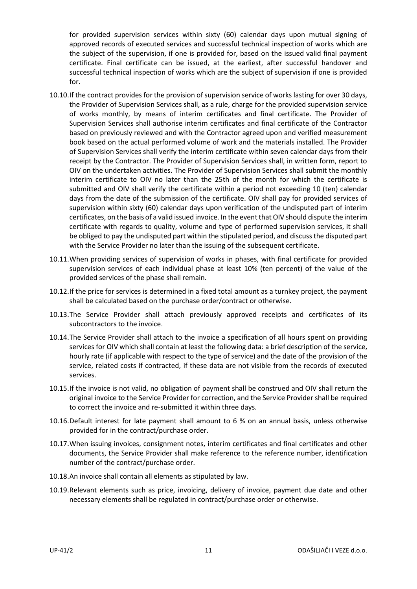for provided supervision services within sixty (60) calendar days upon mutual signing of approved records of executed services and successful technical inspection of works which are the subject of the supervision, if one is provided for, based on the issued valid final payment certificate. Final certificate can be issued, at the earliest, after successful handover and successful technical inspection of works which are the subject of supervision if one is provided for.

- 10.10.If the contract provides for the provision of supervision service of works lasting for over 30 days, the Provider of Supervision Services shall, as a rule, charge for the provided supervision service of works monthly, by means of interim certificates and final certificate. The Provider of Supervision Services shall authorise interim certificates and final certificate of the Contractor based on previously reviewed and with the Contractor agreed upon and verified measurement book based on the actual performed volume of work and the materials installed. The Provider of Supervision Services shall verify the interim certificate within seven calendar days from their receipt by the Contractor. The Provider of Supervision Services shall, in written form, report to OIV on the undertaken activities. The Provider of Supervision Services shall submit the monthly interim certificate to OIV no later than the 25th of the month for which the certificate is submitted and OIV shall verify the certificate within a period not exceeding 10 (ten) calendar days from the date of the submission of the certificate. OIV shall pay for provided services of supervision within sixty (60) calendar days upon verification of the undisputed part of interim certificates, on the basis of a valid issued invoice. In the event that OIV should dispute the interim certificate with regards to quality, volume and type of performed supervision services, it shall be obliged to pay the undisputed part within the stipulated period, and discuss the disputed part with the Service Provider no later than the issuing of the subsequent certificate.
- 10.11.When providing services of supervision of works in phases, with final certificate for provided supervision services of each individual phase at least 10% (ten percent) of the value of the provided services of the phase shall remain.
- 10.12.If the price for services is determined in a fixed total amount as a turnkey project, the payment shall be calculated based on the purchase order/contract or otherwise.
- 10.13.The Service Provider shall attach previously approved receipts and certificates of its subcontractors to the invoice.
- 10.14.The Service Provider shall attach to the invoice a specification of all hours spent on providing services for OIV which shall contain at least the following data: a brief description of the service, hourly rate (if applicable with respect to the type of service) and the date of the provision of the service, related costs if contracted, if these data are not visible from the records of executed services.
- 10.15.If the invoice is not valid, no obligation of payment shall be construed and OIV shall return the original invoice to the Service Provider for correction, and the Service Provider shall be required to correct the invoice and re-submitted it within three days.
- 10.16.Default interest for late payment shall amount to 6 % on an annual basis, unless otherwise provided for in the contract/purchase order.
- 10.17.When issuing invoices, consignment notes, interim certificates and final certificates and other documents, the Service Provider shall make reference to the reference number, identification number of the contract/purchase order.
- 10.18.An invoice shall contain all elements as stipulated by law.
- 10.19.Relevant elements such as price, invoicing, delivery of invoice, payment due date and other necessary elements shall be regulated in contract/purchase order or otherwise.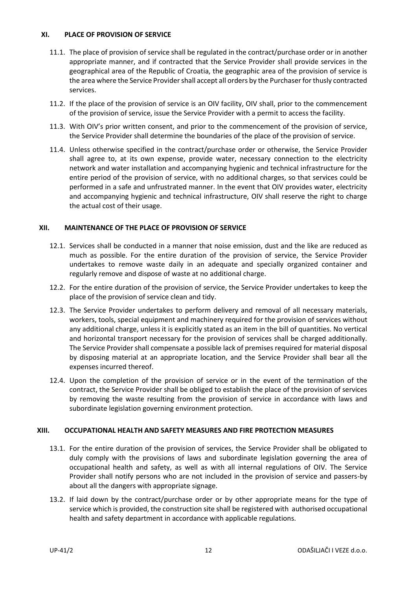# <span id="page-11-0"></span>**XI. PLACE OF PROVISION OF SERVICE**

- 11.1. The place of provision of service shall be regulated in the contract/purchase order or in another appropriate manner, and if contracted that the Service Provider shall provide services in the geographical area of the Republic of Croatia, the geographic area of the provision of service is the area where the Service Provider shall accept all orders by the Purchaser for thusly contracted services.
- 11.2. If the place of the provision of service is an OIV facility, OIV shall, prior to the commencement of the provision of service, issue the Service Provider with a permit to access the facility.
- 11.3. With OIV's prior written consent, and prior to the commencement of the provision of service, the Service Provider shall determine the boundaries of the place of the provision of service.
- 11.4. Unless otherwise specified in the contract/purchase order or otherwise, the Service Provider shall agree to, at its own expense, provide water, necessary connection to the electricity network and water installation and accompanying hygienic and technical infrastructure for the entire period of the provision of service, with no additional charges, so that services could be performed in a safe and unfrustrated manner. In the event that OIV provides water, electricity and accompanying hygienic and technical infrastructure, OIV shall reserve the right to charge the actual cost of their usage.

# <span id="page-11-1"></span>**XII. MAINTENANCE OF THE PLACE OF PROVISION OF SERVICE**

- 12.1. Services shall be conducted in a manner that noise emission, dust and the like are reduced as much as possible. For the entire duration of the provision of service, the Service Provider undertakes to remove waste daily in an adequate and specially organized container and regularly remove and dispose of waste at no additional charge.
- 12.2. For the entire duration of the provision of service, the Service Provider undertakes to keep the place of the provision of service clean and tidy.
- 12.3. The Service Provider undertakes to perform delivery and removal of all necessary materials, workers, tools, special equipment and machinery required for the provision of services without any additional charge, unless it is explicitly stated as an item in the bill of quantities. No vertical and horizontal transport necessary for the provision of services shall be charged additionally. The Service Provider shall compensate a possible lack of premises required for material disposal by disposing material at an appropriate location, and the Service Provider shall bear all the expenses incurred thereof.
- 12.4. Upon the completion of the provision of service or in the event of the termination of the contract, the Service Provider shall be obliged to establish the place of the provision of services by removing the waste resulting from the provision of service in accordance with laws and subordinate legislation governing environment protection.

# <span id="page-11-2"></span>**XIII. OCCUPATIONAL HEALTH AND SAFETY MEASURES AND FIRE PROTECTION MEASURES**

- 13.1. For the entire duration of the provision of services, the Service Provider shall be obligated to duly comply with the provisions of laws and subordinate legislation governing the area of occupational health and safety, as well as with all internal regulations of OIV. The Service Provider shall notify persons who are not included in the provision of service and passers-by about all the dangers with appropriate signage.
- 13.2. If laid down by the contract/purchase order or by other appropriate means for the type of service which is provided, the construction site shall be registered with authorised occupational health and safety department in accordance with applicable regulations.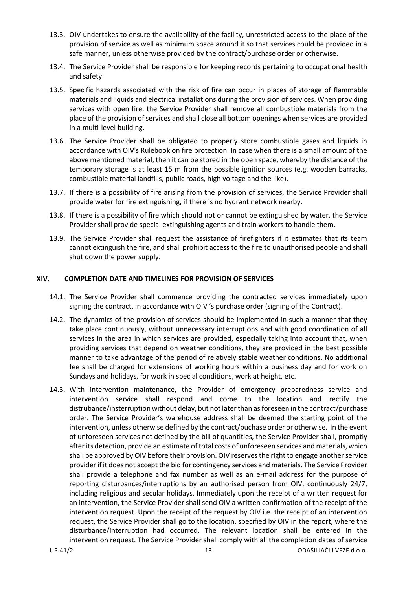- 13.3. OIV undertakes to ensure the availability of the facility, unrestricted access to the place of the provision of service as well as minimum space around it so that services could be provided in a safe manner, unless otherwise provided by the contract/purchase order or otherwise.
- 13.4. The Service Provider shall be responsible for keeping records pertaining to occupational health and safety.
- 13.5. Specific hazards associated with the risk of fire can occur in places of storage of flammable materials and liquids and electrical installations during the provision of services. When providing services with open fire, the Service Provider shall remove all combustible materials from the place of the provision of services and shall close all bottom openings when services are provided in a multi-level building.
- 13.6. The Service Provider shall be obligated to properly store combustible gases and liquids in accordance with OIV's Rulebook on fire protection. In case when there is a small amount of the above mentioned material, then it can be stored in the open space, whereby the distance of the temporary storage is at least 15 m from the possible ignition sources (e.g. wooden barracks, combustible material landfills, public roads, high voltage and the like).
- 13.7. If there is a possibility of fire arising from the provision of services, the Service Provider shall provide water for fire extinguishing, if there is no hydrant network nearby.
- 13.8. If there is a possibility of fire which should not or cannot be extinguished by water, the Service Provider shall provide special extinguishing agents and train workers to handle them.
- 13.9. The Service Provider shall request the assistance of firefighters if it estimates that its team cannot extinguish the fire, and shall prohibit access to the fire to unauthorised people and shall shut down the power supply.

# <span id="page-12-0"></span>**XIV. COMPLETION DATE AND TIMELINES FOR PROVISION OF SERVICES**

- 14.1. The Service Provider shall commence providing the contracted services immediately upon signing the contract, in accordance with OIV 's purchase order (signing of the Contract).
- 14.2. The dynamics of the provision of services should be implemented in such a manner that they take place continuously, without unnecessary interruptions and with good coordination of all services in the area in which services are provided, especially taking into account that, when providing services that depend on weather conditions, they are provided in the best possible manner to take advantage of the period of relatively stable weather conditions. No additional fee shall be charged for extensions of working hours within a business day and for work on Sundays and holidays, for work in special conditions, work at height, etc.
- 14.3. With intervention maintenance, the Provider of emergency preparedness service and intervention service shall respond and come to the location and rectify the distrubance/insterruption without delay, but not later than as foreseen in the contract/purchase order. The Service Provider's warehouse address shall be deemed the starting point of the intervention, unless otherwise defined by the contract/puchase order or otherwise. In the event of unforeseen services not defined by the bill of quantities, the Service Provider shall, promptly after its detection, provide an estimate of total costs of unforeseen services and materials, which shall be approved by OIV before their provision. OIV reserves the right to engage another service provider if it does not accept the bid for contingency services and materials. The Service Provider shall provide a telephone and fax number as well as an e-mail address for the purpose of reporting disturbances/interruptions by an authorised person from OIV, continuously 24/7, including religious and secular holidays. Immediately upon the receipt of a written request for an intervention, the Service Provider shall send OIV a written confirmation of the receipt of the intervention request. Upon the receipt of the request by OIV i.e. the receipt of an intervention request, the Service Provider shall go to the location, specified by OIV in the report, where the disturbance/interruption had occurred. The relevant location shall be entered in the intervention request. The Service Provider shall comply with all the completion dates of service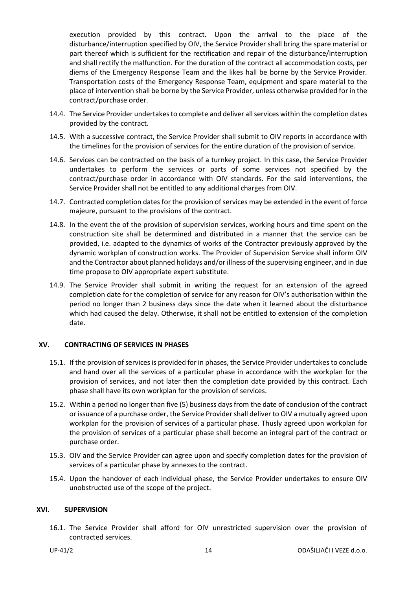execution provided by this contract. Upon the arrival to the place of the disturbance/interruption specified by OIV, the Service Provider shall bring the spare material or part thereof which is sufficient for the rectification and repair of the disturbance/interruption and shall rectify the malfunction. For the duration of the contract all accommodation costs, per diems of the Emergency Response Team and the likes hall be borne by the Service Provider. Transportation costs of the Emergency Response Team, equipment and spare material to the place of intervention shall be borne by the Service Provider, unless otherwise provided for in the contract/purchase order.

- 14.4. The Service Provider undertakes to complete and deliver all services within the completion dates provided by the contract.
- 14.5. With a successive contract, the Service Provider shall submit to OIV reports in accordance with the timelines for the provision of services for the entire duration of the provision of service.
- 14.6. Services can be contracted on the basis of a turnkey project. In this case, the Service Provider undertakes to perform the services or parts of some services not specified by the contract/purchase order in accordance with OIV standards. For the said interventions, the Service Provider shall not be entitled to any additional charges from OIV.
- 14.7. Contracted completion dates for the provision of services may be extended in the event of force majeure, pursuant to the provisions of the contract.
- 14.8. In the event the of the provision of supervision services, working hours and time spent on the construction site shall be determined and distributed in a manner that the service can be provided, i.e. adapted to the dynamics of works of the Contractor previously approved by the dynamic workplan of construction works. The Provider of Supervision Service shall inform OIV and the Contractor about planned holidays and/or illness of the supervising engineer, and in due time propose to OIV appropriate expert substitute.
- 14.9. The Service Provider shall submit in writing the request for an extension of the agreed completion date for the completion of service for any reason for OIV's authorisation within the period no longer than 2 business days since the date when it learned about the disturbance which had caused the delay. Otherwise, it shall not be entitled to extension of the completion date.

#### <span id="page-13-0"></span>**XV. CONTRACTING OF SERVICES IN PHASES**

- 15.1. If the provision of services is provided for in phases, the Service Provider undertakes to conclude and hand over all the services of a particular phase in accordance with the workplan for the provision of services, and not later then the completion date provided by this contract. Each phase shall have its own workplan for the provision of services.
- 15.2. Within a period no longer than five (5) business days from the date of conclusion of the contract or issuance of a purchase order, the Service Provider shall deliver to OIV a mutually agreed upon workplan for the provision of services of a particular phase. Thusly agreed upon workplan for the provision of services of a particular phase shall become an integral part of the contract or purchase order.
- 15.3. OIV and the Service Provider can agree upon and specify completion dates for the provision of services of a particular phase by annexes to the contract.
- 15.4. Upon the handover of each individual phase, the Service Provider undertakes to ensure OIV unobstructed use of the scope of the project.

#### <span id="page-13-1"></span>**XVI. SUPERVISION**

16.1. The Service Provider shall afford for OIV unrestricted supervision over the provision of contracted services.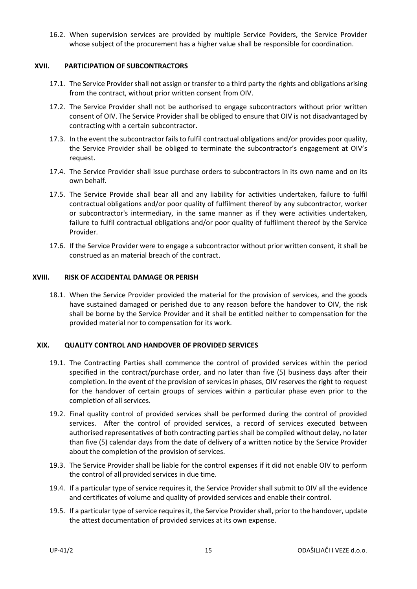16.2. When supervision services are provided by multiple Service Poviders, the Service Provider whose subject of the procurement has a higher value shall be responsible for coordination.

#### <span id="page-14-0"></span>**XVII. PARTICIPATION OF SUBCONTRACTORS**

- 17.1. The Service Provider shall not assign or transfer to a third party the rights and obligations arising from the contract, without prior written consent from OIV.
- 17.2. The Service Provider shall not be authorised to engage subcontractors without prior written consent of OIV. The Service Provider shall be obliged to ensure that OIV is not disadvantaged by contracting with a certain subcontractor.
- 17.3. In the event the subcontractor fails to fulfil contractual obligations and/or provides poor quality, the Service Provider shall be obliged to terminate the subcontractor's engagement at OIV's request.
- 17.4. The Service Provider shall issue purchase orders to subcontractors in its own name and on its own behalf.
- 17.5. The Service Provide shall bear all and any liability for activities undertaken, failure to fulfil contractual obligations and/or poor quality of fulfilment thereof by any subcontractor, worker or subcontractor's intermediary, in the same manner as if they were activities undertaken, failure to fulfil contractual obligations and/or poor quality of fulfilment thereof by the Service Provider.
- 17.6. If the Service Provider were to engage a subcontractor without prior written consent, it shall be construed as an material breach of the contract.

# <span id="page-14-1"></span>**XVIII. RISK OF ACCIDENTAL DAMAGE OR PERISH**

18.1. When the Service Provider provided the material for the provision of services, and the goods have sustained damaged or perished due to any reason before the handover to OIV, the risk shall be borne by the Service Provider and it shall be entitled neither to compensation for the provided material nor to compensation for its work.

#### <span id="page-14-2"></span>**XIX. QUALITY CONTROL AND HANDOVER OF PROVIDED SERVICES**

- 19.1. The Contracting Parties shall commence the control of provided services within the period specified in the contract/purchase order, and no later than five (5) business days after their completion. In the event of the provision of services in phases, OIV reserves the right to request for the handover of certain groups of services within a particular phase even prior to the completion of all services.
- 19.2. Final quality control of provided services shall be performed during the control of provided services. After the control of provided services, a record of services executed between authorised representatives of both contracting parties shall be compiled without delay, no later than five (5) calendar days from the date of delivery of a written notice by the Service Provider about the completion of the provision of services.
- 19.3. The Service Provider shall be liable for the control expenses if it did not enable OIV to perform the control of all provided services in due time.
- 19.4. If a particular type of service requires it, the Service Provider shall submit to OIV all the evidence and certificates of volume and quality of provided services and enable their control.
- 19.5. If a particular type of service requires it, the Service Provider shall, prior to the handover, update the attest documentation of provided services at its own expense.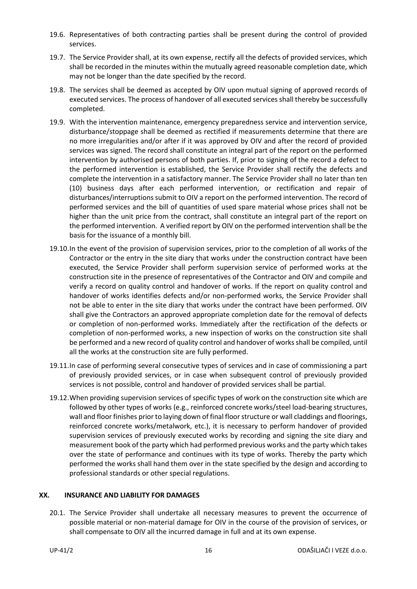- 19.6. Representatives of both contracting parties shall be present during the control of provided services.
- 19.7. The Service Provider shall, at its own expense, rectify all the defects of provided services, which shall be recorded in the minutes within the mutually agreed reasonable completion date, which may not be longer than the date specified by the record.
- 19.8. The services shall be deemed as accepted by OIV upon mutual signing of approved records of executed services. The process of handover of all executed services shall thereby be successfully completed.
- 19.9. With the intervention maintenance, emergency preparedness service and intervention service, disturbance/stoppage shall be deemed as rectified if measurements determine that there are no more irregularities and/or after if it was approved by OIV and after the record of provided services was signed. The record shall constitute an integral part of the report on the performed intervention by authorised persons of both parties. If, prior to signing of the record a defect to the performed intervention is established, the Service Provider shall rectify the defects and complete the intervention in a satisfactory manner. The Service Provider shall no later than ten (10) business days after each performed intervention, or rectification and repair of disturbances/interruptions submit to OIV a report on the performed intervention. The record of performed services and the bill of quantities of used spare material whose prices shall not be higher than the unit price from the contract, shall constitute an integral part of the report on the performed intervention. A verified report by OIV on the performed intervention shall be the basis for the issuance of a monthly bill.
- 19.10.In the event of the provision of supervision services, prior to the completion of all works of the Contractor or the entry in the site diary that works under the construction contract have been executed, the Service Provider shall perform supervision service of performed works at the construction site in the presence of representatives of the Contractor and OIV and compile and verify a record on quality control and handover of works. If the report on quality control and handover of works identifies defects and/or non-performed works, the Service Provider shall not be able to enter in the site diary that works under the contract have been performed. OIV shall give the Contractors an approved appropriate completion date for the removal of defects or completion of non-performed works. Immediately after the rectification of the defects or completion of non-performed works, a new inspection of works on the construction site shall be performed and a new record of quality control and handover of works shall be compiled, until all the works at the construction site are fully performed.
- 19.11.In case of performing several consecutive types of services and in case of commissioning a part of previously provided services, or in case when subsequent control of previously provided services is not possible, control and handover of provided services shall be partial.
- 19.12.When providing supervision services of specific types of work on the construction site which are followed by other types of works (e.g., reinforced concrete works/steel load-bearing structures, wall and floor finishes prior to laying down of final floor structure or wall claddings and floorings, reinforced concrete works/metalwork, etc.), it is necessary to perform handover of provided supervision services of previously executed works by recording and signing the site diary and measurement book of the party which had performed previous works and the party which takes over the state of performance and continues with its type of works. Thereby the party which performed the works shall hand them over in the state specified by the design and according to professional standards or other special regulations.

#### <span id="page-15-0"></span>**XX. INSURANCE AND LIABILITY FOR DAMAGES**

20.1. The Service Provider shall undertake all necessary measures to prevent the occurrence of possible material or non-material damage for OIV in the course of the provision of services, or shall compensate to OIV all the incurred damage in full and at its own expense.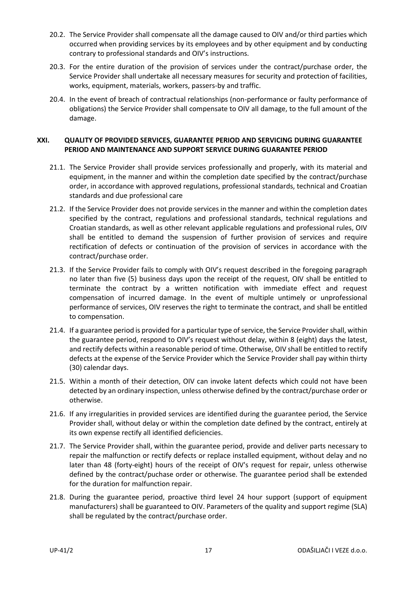- 20.2. The Service Provider shall compensate all the damage caused to OIV and/or third parties which occurred when providing services by its employees and by other equipment and by conducting contrary to professional standards and OIV's instructions.
- 20.3. For the entire duration of the provision of services under the contract/purchase order, the Service Provider shall undertake all necessary measures for security and protection of facilities, works, equipment, materials, workers, passers-by and traffic.
- 20.4. In the event of breach of contractual relationships (non-performance or faulty performance of obligations) the Service Provider shall compensate to OIV all damage, to the full amount of the damage.

# <span id="page-16-0"></span>**XXI. QUALITY OF PROVIDED SERVICES, GUARANTEE PERIOD AND SERVICING DURING GUARANTEE PERIOD AND MAINTENANCE AND SUPPORT SERVICE DURING GUARANTEE PERIOD**

- 21.1. The Service Provider shall provide services professionally and properly, with its material and equipment, in the manner and within the completion date specified by the contract/purchase order, in accordance with approved regulations, professional standards, technical and Croatian standards and due professional care
- 21.2. If the Service Provider does not provide services in the manner and within the completion dates specified by the contract, regulations and professional standards, technical regulations and Croatian standards, as well as other relevant applicable regulations and professional rules, OIV shall be entitled to demand the suspension of further provision of services and require rectification of defects or continuation of the provision of services in accordance with the contract/purchase order.
- 21.3. If the Service Provider fails to comply with OIV's request described in the foregoing paragraph no later than five (5) business days upon the receipt of the request, OIV shall be entitled to terminate the contract by a written notification with immediate effect and request compensation of incurred damage. In the event of multiple untimely or unprofessional performance of services, OIV reserves the right to terminate the contract, and shall be entitled to compensation.
- 21.4. If a guarantee period is provided for a particular type of service, the Service Provider shall, within the guarantee period, respond to OIV's request without delay, within 8 (eight) days the latest, and rectify defects within a reasonable period of time. Otherwise, OIV shall be entitled to rectify defects at the expense of the Service Provider which the Service Provider shall pay within thirty (30) calendar days.
- 21.5. Within a month of their detection, OIV can invoke latent defects which could not have been detected by an ordinary inspection, unless otherwise defined by the contract/purchase order or otherwise.
- 21.6. If any irregularities in provided services are identified during the guarantee period, the Service Provider shall, without delay or within the completion date defined by the contract, entirely at its own expense rectify all identified deficiencies.
- 21.7. The Service Provider shall, within the guarantee period, provide and deliver parts necessary to repair the malfunction or rectify defects or replace installed equipment, without delay and no later than 48 (forty-eight) hours of the receipt of OIV's request for repair, unless otherwise defined by the contract/puchase order or otherwise. The guarantee period shall be extended for the duration for malfunction repair.
- 21.8. During the guarantee period, proactive third level 24 hour support (support of equipment manufacturers) shall be guaranteed to OIV. Parameters of the quality and support regime (SLA) shall be regulated by the contract/purchase order.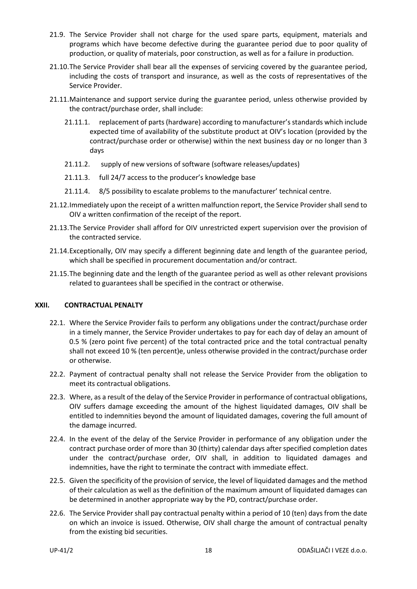- 21.9. The Service Provider shall not charge for the used spare parts, equipment, materials and programs which have become defective during the guarantee period due to poor quality of production, or quality of materials, poor construction, as well as for a failure in production.
- 21.10.The Service Provider shall bear all the expenses of servicing covered by the guarantee period, including the costs of transport and insurance, as well as the costs of representatives of the Service Provider.
- 21.11.Maintenance and support service during the guarantee period, unless otherwise provided by the contract/purchase order, shall include:
	- 21.11.1. replacement of parts (hardware) according to manufacturer's standards which include expected time of availability of the substitute product at OIV's location (provided by the contract/purchase order or otherwise) within the next business day or no longer than 3 days
	- 21.11.2. supply of new versions of software (software releases/updates)
	- 21.11.3. full 24/7 access to the producer's knowledge base
	- 21.11.4. 8/5 possibility to escalate problems to the manufacturer' technical centre.
- 21.12.Immediately upon the receipt of a written malfunction report, the Service Provider shall send to OIV a written confirmation of the receipt of the report.
- 21.13.The Service Provider shall afford for OIV unrestricted expert supervision over the provision of the contracted service.
- 21.14.Exceptionally, OIV may specify a different beginning date and length of the guarantee period, which shall be specified in procurement documentation and/or contract.
- 21.15.The beginning date and the length of the guarantee period as well as other relevant provisions related to guarantees shall be specified in the contract or otherwise.

#### <span id="page-17-0"></span>**XXII. CONTRACTUAL PENALTY**

- <span id="page-17-1"></span>22.1. Where the Service Provider fails to perform any obligations under the contract/purchase order in a timely manner, the Service Provider undertakes to pay for each day of delay an amount of 0.5 % (zero point five percent) of the total contracted price and the total contractual penalty shall not exceed 10 % (ten percent)e, unless otherwise provided in the contract/purchase order or otherwise.
- 22.2. Payment of contractual penalty shall not release the Service Provider from the obligation to meet its contractual obligations.
- 22.3. Where, as a result of the delay of the Service Provider in performance of contractual obligations, OIV suffers damage exceeding the amount of the highest liquidated damages, OIV shall be entitled to indemnities beyond the amount of liquidated damages, covering the full amount of the damage incurred.
- 22.4. In the event of the delay of the Service Provider in performance of any obligation under the contract purchase order of more than 30 (thirty) calendar days after specified completion dates under the contract/purchase order, OIV shall, in addition to liquidated damages and indemnities, have the right to terminate the contract with immediate effect.
- 22.5. Given the specificity of the provision of service, the level of liquidated damages and the method of their calculation as well as the definition of the maximum amount of liquidated damages can be determined in another appropriate way by the PD, contract/purchase order.
- 22.6. The Service Provider shall pay contractual penalty within a period of 10 (ten) days from the date on which an invoice is issued. Otherwise, OIV shall charge the amount of contractual penalty from the existing bid securities.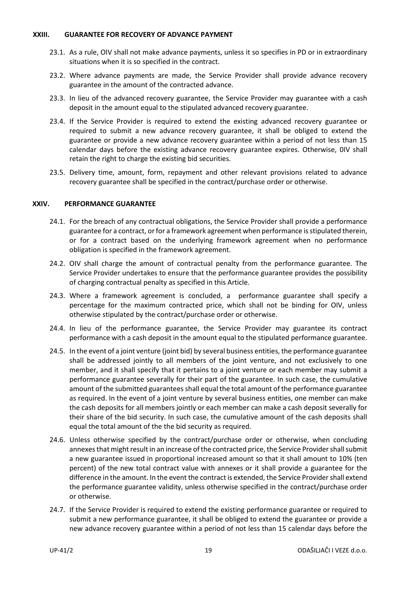#### <span id="page-18-0"></span>**XXIII. GUARANTEE FOR RECOVERY OF ADVANCE PAYMENT**

- 23.1. As a rule, OIV shall not make advance payments, unless it so specifies in PD or in extraordinary situations when it is so specified in the contract.
- 23.2. Where advance payments are made, the Service Provider shall provide advance recovery guarantee in the amount of the contracted advance.
- 23.3. In lieu of the advanced recovery guarantee, the Service Provider may guarantee with a cash deposit in the amount equal to the stipulated advanced recovery guarantee.
- 23.4. If the Service Provider is required to extend the existing advanced recovery guarantee or required to submit a new advance recovery guarantee, it shall be obliged to extend the guarantee or provide a new advance recovery guarantee within a period of not less than 15 calendar days before the existing advance recovery guarantee expires. Otherwise, 0IV shall retain the right to charge the existing bid securities.
- 23.5. Delivery time, amount, form, repayment and other relevant provisions related to advance recovery guarantee shall be specified in the contract/purchase order or otherwise.

#### <span id="page-18-1"></span>**XXIV. PERFORMANCE GUARANTEE**

- 24.1. For the breach of any contractual obligations, the Service Provider shall provide a performance guarantee for a contract, or for a framework agreement when performance is stipulated therein, or for a contract based on the underlying framework agreement when no performance obligation is specified in the framework agreement.
- 24.2. OIV shall charge the amount of contractual penalty from the performance guarantee. The Service Provider undertakes to ensure that the performance guarantee provides the possibility of charging contractual penalty as specified in this Article.
- 24.3. Where a framework agreement is concluded, a performance guarantee shall specify a percentage for the maximum contracted price, which shall not be binding for OIV, unless otherwise stipulated by the contract/purchase order or otherwise.
- 24.4. In lieu of the performance guarantee, the Service Provider may guarantee its contract performance with a cash deposit in the amount equal to the stipulated performance guarantee.
- 24.5. In the event of a joint venture (joint bid) by several business entities, the performance guarantee shall be addressed jointly to all members of the joint venture, and not exclusively to one member, and it shall specify that it pertains to a joint venture or each member may submit a performance guarantee severally for their part of the guarantee. In such case, the cumulative amount of the submitted guarantees shall equal the total amount of the performance guarantee as required. In the event of a joint venture by several business entities, one member can make the cash deposits for all members jointly or each member can make a cash deposit severally for their share of the bid security. In such case, the cumulative amount of the cash deposits shall equal the total amount of the the bid security as required.
- 24.6. Unless otherwise specified by the contract/purchase order or otherwise, when concluding annexes that might result in an increase of the contracted price, the Service Provider shall submit a new guarantee issued in proportional increased amount so that it shall amount to 10% (ten percent) of the new total contract value with annexes or it shall provide a guarantee for the difference in the amount. In the event the contract is extended, the Service Provider shall extend the performance guarantee validity, unless otherwise specified in the contract/purchase order or otherwise.
- 24.7. If the Service Provider is required to extend the existing performance guarantee or required to submit a new performance guarantee, it shall be obliged to extend the guarantee or provide a new advance recovery guarantee within a period of not less than 15 calendar days before the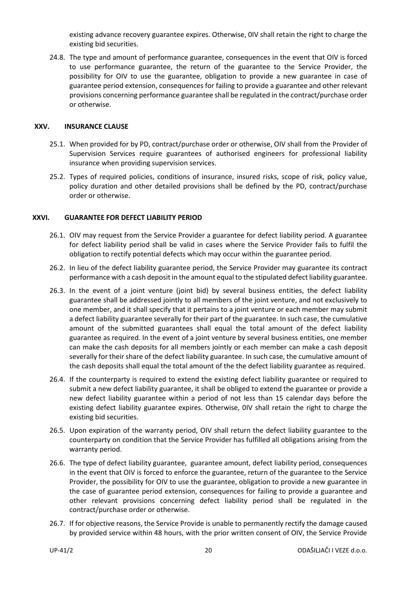existing advance recovery guarantee expires. Otherwise, 0IV shall retain the right to charge the existing bid securities.

24.8. The type and amount of performance guarantee, consequences in the event that OIV is forced to use performance guarantee, the return of the guarantee to the Service Provider, the possibility for OIV to use the guarantee, obligation to provide a new guarantee in case of guarantee period extension, consequences for failing to provide a guarantee and other relevant provisions concerning performance guarantee shall be regulated in the contract/purchase order or otherwise.

#### <span id="page-19-0"></span>**XXV. INSURANCE CLAUSE**

- 25.1. When provided for by PD, contract/purchase order or otherwise, OIV shall from the Provider of Supervision Services require guarantees of authorised engineers for professional liability insurance when providing supervision services.
- 25.2. Types of required policies, conditions of insurance, insured risks, scope of risk, policy value, policy duration and other detailed provisions shall be defined by the PD, contract/purchase order or otherwise.

# <span id="page-19-1"></span>**XXVI. GUARANTEE FOR DEFECT LIABILITY PERIOD**

- 26.1. OIV may request from the Service Provider a guarantee for defect liability period. A guarantee for defect liability period shall be valid in cases where the Service Provider fails to fulfil the obligation to rectify potential defects which may occur within the guarantee period.
- 26.2. In lieu of the defect liability guarantee period, the Service Provider may guarantee its contract performance with a cash deposit in the amount equal to the stipulated defect liability guarantee.
- 26.3. In the event of a joint venture (joint bid) by several business entities, the defect liability guarantee shall be addressed jointly to all members of the joint venture, and not exclusively to one member, and it shall specify that it pertains to a joint venture or each member may submit a defect liability guarantee severally for their part of the guarantee. In such case, the cumulative amount of the submitted guarantees shall equal the total amount of the defect liability guarantee as required. In the event of a joint venture by several business entities, one member can make the cash deposits for all members jointly or each member can make a cash deposit severally for their share of the defect liability guarantee. In such case, the cumulative amount of the cash deposits shall equal the total amount of the the defect liability guarantee as required.
- 26.4. If the counterparty is required to extend the existing defect liability guarantee or required to submit a new defect liability guarantee, it shall be obliged to extend the guarantee or provide a new defect liability guarantee within a period of not less than 15 calendar days before the existing defect liability guarantee expires. Otherwise, 0IV shall retain the right to charge the existing bid securities.
- 26.5. Upon expiration of the warranty period, OIV shall return the defect liability guarantee to the counterparty on condition that the Service Provider has fulfilled all obligations arising from the warranty period.
- 26.6. The type of defect liability guarantee, guarantee amount, defect liability period, consequences in the event that OIV is forced to enforce the guarantee, return of the guarantee to the Service Provider, the possibility for OIV to use the guarantee, obligation to provide a new guarantee in the case of guarantee period extension, consequences for failing to provide a guarantee and other relevant provisions concerning defect liability period shall be regulated in the contract/purchase order or otherwise.
- 26.7. If for objective reasons, the Service Provide is unable to permanently rectify the damage caused by provided service within 48 hours, with the prior written consent of OIV, the Service Provide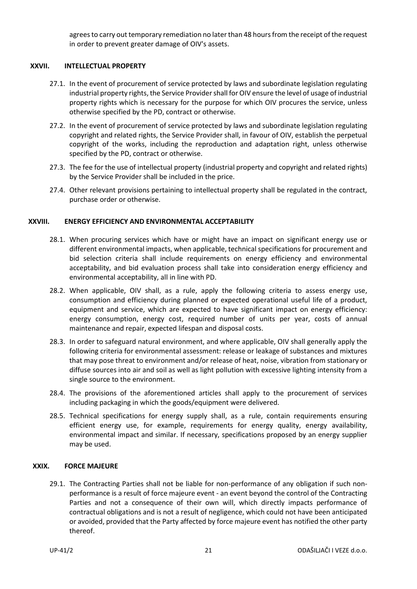agrees to carry out temporary remediation no later than 48 hours from the receipt of the request in order to prevent greater damage of OIV's assets.

#### <span id="page-20-0"></span>**XXVII. INTELLECTUAL PROPERTY**

- 27.1. In the event of procurement of service protected by laws and subordinate legislation regulating industrial property rights, the Service Provider shall for OIV ensure the level of usage of industrial property rights which is necessary for the purpose for which OIV procures the service, unless otherwise specified by the PD, contract or otherwise.
- 27.2. In the event of procurement of service protected by laws and subordinate legislation regulating copyright and related rights, the Service Provider shall, in favour of OIV, establish the perpetual copyright of the works, including the reproduction and adaptation right, unless otherwise specified by the PD, contract or otherwise.
- 27.3. The fee for the use of intellectual property (industrial property and copyright and related rights) by the Service Provider shall be included in the price.
- 27.4. Other relevant provisions pertaining to intellectual property shall be regulated in the contract, purchase order or otherwise.

# <span id="page-20-1"></span>**XXVIII. ENERGY EFFICIENCY AND ENVIRONMENTAL ACCEPTABILITY**

- 28.1. When procuring services which have or might have an impact on significant energy use or different environmental impacts, when applicable, technical specifications for procurement and bid selection criteria shall include requirements on energy efficiency and environmental acceptability, and bid evaluation process shall take into consideration energy efficiency and environmental acceptability, all in line with PD.
- 28.2. When applicable, OIV shall, as a rule, apply the following criteria to assess energy use, consumption and efficiency during planned or expected operational useful life of a product, equipment and service, which are expected to have significant impact on energy efficiency: energy consumption, energy cost, required number of units per year, costs of annual maintenance and repair, expected lifespan and disposal costs.
- 28.3. In order to safeguard natural environment, and where applicable, OIV shall generally apply the following criteria for environmental assessment: release or leakage of substances and mixtures that may pose threat to environment and/or release of heat, noise, vibration from stationary or diffuse sources into air and soil as well as light pollution with excessive lighting intensity from a single source to the environment.
- 28.4. The provisions of the aforementioned articles shall apply to the procurement of services including packaging in which the goods/equipment were delivered.
- 28.5. Technical specifications for energy supply shall, as a rule, contain requirements ensuring efficient energy use, for example, requirements for energy quality, energy availability, environmental impact and similar. If necessary, specifications proposed by an energy supplier may be used.

#### <span id="page-20-2"></span>**XXIX. FORCE MAJEURE**

29.1. The Contracting Parties shall not be liable for non-performance of any obligation if such nonperformance is a result of force majeure event - an event beyond the control of the Contracting Parties and not a consequence of their own will, which directly impacts performance of contractual obligations and is not a result of negligence, which could not have been anticipated or avoided, provided that the Party affected by force majeure event has notified the other party thereof.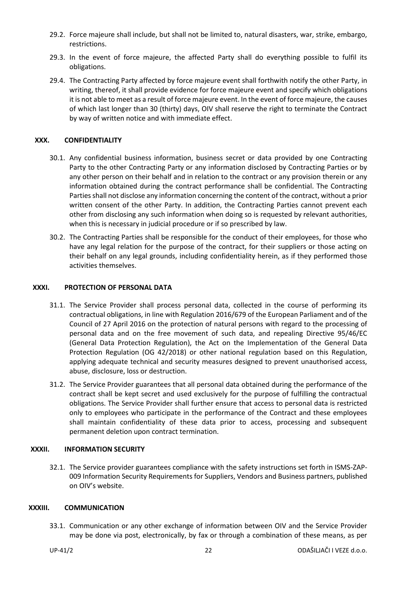- 29.2. Force majeure shall include, but shall not be limited to, natural disasters, war, strike, embargo, restrictions.
- 29.3. In the event of force majeure, the affected Party shall do everything possible to fulfil its obligations.
- 29.4. The Contracting Party affected by force majeure event shall forthwith notify the other Party, in writing, thereof, it shall provide evidence for force majeure event and specify which obligations it is not able to meet as a result of force majeure event. In the event of force majeure, the causes of which last longer than 30 (thirty) days, OIV shall reserve the right to terminate the Contract by way of written notice and with immediate effect.

# <span id="page-21-0"></span>**XXX. CONFIDENTIALITY**

- 30.1. Any confidential business information, business secret or data provided by one Contracting Party to the other Contracting Party or any information disclosed by Contracting Parties or by any other person on their behalf and in relation to the contract or any provision therein or any information obtained during the contract performance shall be confidential. The Contracting Parties shall not disclose any information concerning the content of the contract, without a prior written consent of the other Party. In addition, the Contracting Parties cannot prevent each other from disclosing any such information when doing so is requested by relevant authorities, when this is necessary in judicial procedure or if so prescribed by law.
- 30.2. The Contracting Parties shall be responsible for the conduct of their employees, for those who have any legal relation for the purpose of the contract, for their suppliers or those acting on their behalf on any legal grounds, including confidentiality herein, as if they performed those activities themselves.

#### <span id="page-21-1"></span>**XXXI. PROTECTION OF PERSONAL DATA**

- 31.1. The Service Provider shall process personal data, collected in the course of performing its contractual obligations, in line with Regulation 2016/679 of the European Parliament and of the Council of 27 April 2016 on the protection of natural persons with regard to the processing of personal data and on the free movement of such data, and repealing Directive 95/46/EC (General Data Protection Regulation), the Act on the Implementation of the General Data Protection Regulation (OG 42/2018) or other national regulation based on this Regulation, applying adequate technical and security measures designed to prevent unauthorised access, abuse, disclosure, loss or destruction.
- 31.2. The Service Provider guarantees that all personal data obtained during the performance of the contract shall be kept secret and used exclusively for the purpose of fulfilling the contractual obligations. The Service Provider shall further ensure that access to personal data is restricted only to employees who participate in the performance of the Contract and these employees shall maintain confidentiality of these data prior to access, processing and subsequent permanent deletion upon contract termination.

#### <span id="page-21-2"></span>**XXXII. INFORMATION SECURITY**

32.1. The Service provider guarantees compliance with the safety instructions set forth in ISMS-ZAP-009 Information Security Requirements for Suppliers, Vendors and Business partners, published on OIV's website.

#### <span id="page-21-3"></span>**XXXIII. COMMUNICATION**

33.1. Communication or any other exchange of information between OIV and the Service Provider may be done via post, electronically, by fax or through a combination of these means, as per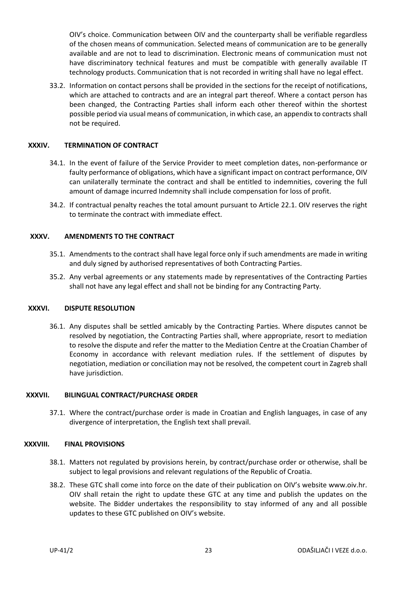OIV's choice. Communication between OIV and the counterparty shall be verifiable regardless of the chosen means of communication. Selected means of communication are to be generally available and are not to lead to discrimination. Electronic means of communication must not have discriminatory technical features and must be compatible with generally available IT technology products. Communication that is not recorded in writing shall have no legal effect.

33.2. Information on contact persons shall be provided in the sections for the receipt of notifications, which are attached to contracts and are an integral part thereof. Where a contact person has been changed, the Contracting Parties shall inform each other thereof within the shortest possible period via usual means of communication, in which case, an appendix to contracts shall not be required.

#### <span id="page-22-0"></span>**XXXIV. TERMINATION OF CONTRACT**

- 34.1. In the event of failure of the Service Provider to meet completion dates, non-performance or faulty performance of obligations, which have a significant impact on contract performance, OIV can unilaterally terminate the contract and shall be entitled to indemnities, covering the full amount of damage incurred Indemnity shall include compensation for loss of profit.
- 34.2. If contractual penalty reaches the total amount pursuant to Article [22.1.](#page-17-1) OIV reserves the right to terminate the contract with immediate effect.

# <span id="page-22-1"></span>**XXXV. AMENDMENTS TO THE CONTRACT**

- 35.1. Amendments to the contract shall have legal force only if such amendments are made in writing and duly signed by authorised representatives of both Contracting Parties.
- 35.2. Any verbal agreements or any statements made by representatives of the Contracting Parties shall not have any legal effect and shall not be binding for any Contracting Party.

#### <span id="page-22-2"></span>**XXXVI. DISPUTE RESOLUTION**

36.1. Any disputes shall be settled amicably by the Contracting Parties. Where disputes cannot be resolved by negotiation, the Contracting Parties shall, where appropriate, resort to mediation to resolve the dispute and refer the matter to the Mediation Centre at the Croatian Chamber of Economy in accordance with relevant mediation rules. If the settlement of disputes by negotiation, mediation or conciliation may not be resolved, the competent court in Zagreb shall have jurisdiction.

#### <span id="page-22-3"></span>**XXXVII. BILINGUAL CONTRACT/PURCHASE ORDER**

<span id="page-22-4"></span>37.1. Where the contract/purchase order is made in Croatian and English languages, in case of any divergence of interpretation, the English text shall prevail.

#### **XXXVIII. FINAL PROVISIONS**

- 38.1. Matters not regulated by provisions herein, by contract/purchase order or otherwise, shall be subject to legal provisions and relevant regulations of the Republic of Croatia.
- 38.2. These GTC shall come into force on the date of their publication on OIV's website www.oiv.hr. OIV shall retain the right to update these GTC at any time and publish the updates on the website. The Bidder undertakes the responsibility to stay informed of any and all possible updates to these GTC published on OIV's website.